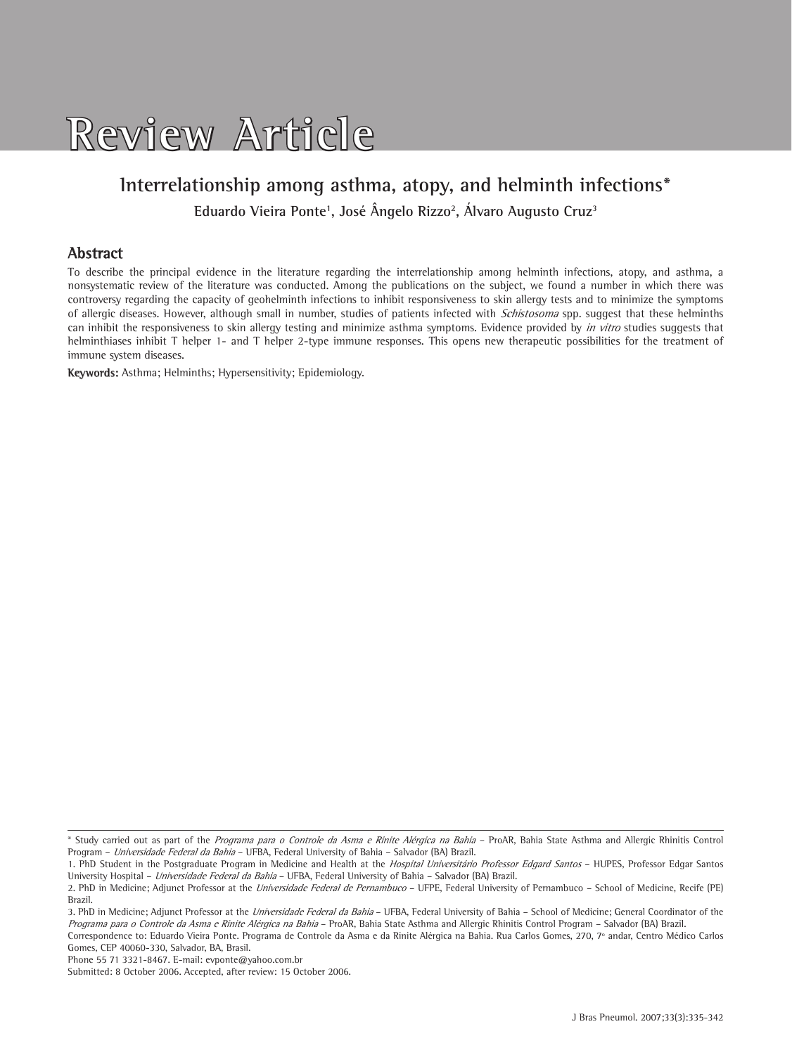

# **Interrelationship among asthma, atopy, and helminth infections\***

**Eduardo Vieira Ponte1 , José Ângelo Rizzo2 , Álvaro Augusto Cruz3**

### **Abstract**

To describe the principal evidence in the literature regarding the interrelationship among helminth infections, atopy, and asthma, a nonsystematic review of the literature was conducted. Among the publications on the subject, we found a number in which there was controversy regarding the capacity of geohelminth infections to inhibit responsiveness to skin allergy tests and to minimize the symptoms of allergic diseases. However, although small in number, studies of patients infected with Schistosoma spp. suggest that these helminths can inhibit the responsiveness to skin allergy testing and minimize asthma symptoms. Evidence provided by in vitro studies suggests that helminthiases inhibit T helper 1- and T helper 2-type immune responses. This opens new therapeutic possibilities for the treatment of immune system diseases.

**Keywords:** Asthma; Helminths; Hypersensitivity; Epidemiology.

Phone 55 71 3321-8467. E-mail: evponte@yahoo.com.br

<sup>\*</sup> Study carried out as part of the Programa para o Controle da Asma e Rinite Alérgica na Bahia – ProAR, Bahia State Asthma and Allergic Rhinitis Control Program – Universidade Federal da Bahia – UFBA, Federal University of Bahia – Salvador (BA) Brazil.

<sup>1.</sup> PhD Student in the Postgraduate Program in Medicine and Health at the Hospital Universitário Professor Edgard Santos - HUPES, Professor Edgar Santos University Hospital - Universidade Federal da Bahia - UFBA, Federal University of Bahia - Salvador (BA) Brazil.

<sup>2.</sup> PhD in Medicine; Adjunct Professor at the *Universidade Federal de Pernambuco* - UFPE, Federal University of Pernambuco - School of Medicine, Recife (PE) Brazil.

<sup>3.</sup> PhD in Medicine; Adjunct Professor at the *Universidade Federal da Bahia* – UFBA, Federal University of Bahia – School of Medicine; General Coordinator of the Programa para o Controle da Asma e Rinite Alérgica na Bahia - ProAR, Bahia State Asthma and Allergic Rhinitis Control Program - Salvador (BA) Brazil.

Correspondence to: Eduardo Vieira Ponte. Programa de Controle da Asma e da Rinite Alérgica na Bahia. Rua Carlos Gomes, 270, 7º andar, Centro Médico Carlos Gomes, CEP 40060-330, Salvador, BA, Brasil.

Submitted: 8 October 2006. Accepted, after review: 15 October 2006.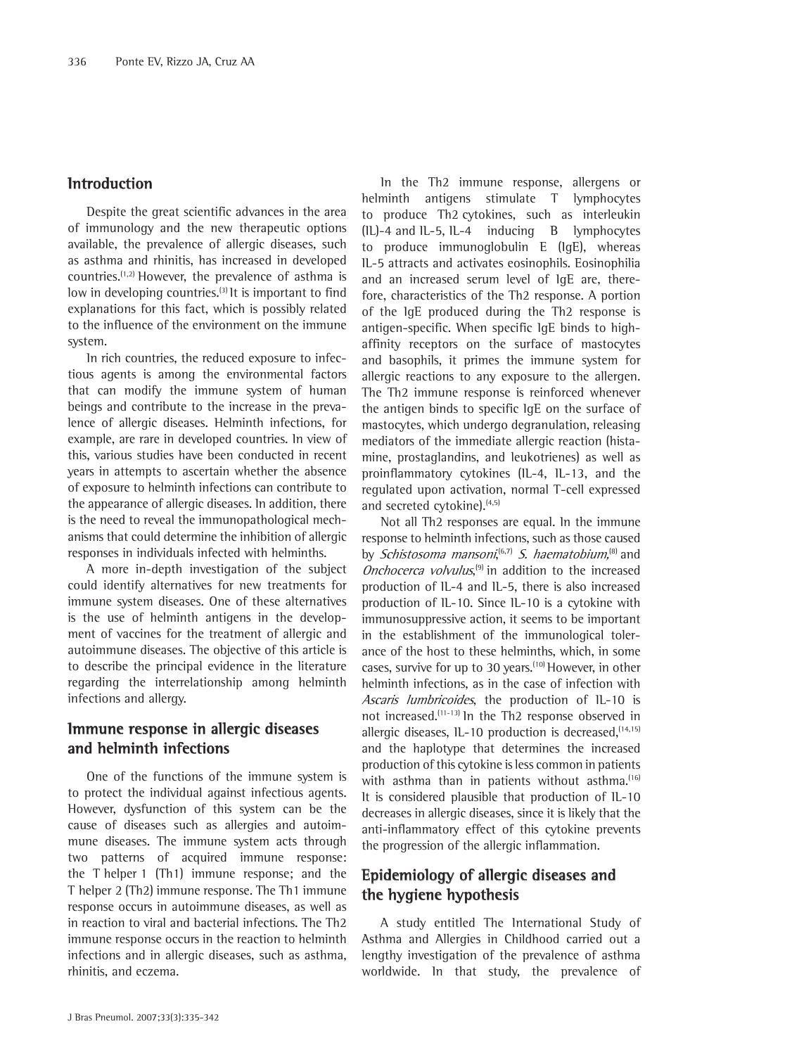#### **Introduction**

Despite the great scientific advances in the area of immunology and the new therapeutic options available, the prevalence of allergic diseases, such as asthma and rhinitis, has increased in developed countries.(1,2) However, the prevalence of asthma is low in developing countries.<sup>(3)</sup> It is important to find explanations for this fact, which is possibly related to the influence of the environment on the immune system.

In rich countries, the reduced exposure to infectious agents is among the environmental factors that can modify the immune system of human beings and contribute to the increase in the prevalence of allergic diseases. Helminth infections, for example, are rare in developed countries. In view of this, various studies have been conducted in recent years in attempts to ascertain whether the absence of exposure to helminth infections can contribute to the appearance of allergic diseases. In addition, there is the need to reveal the immunopathological mechanisms that could determine the inhibition of allergic responses in individuals infected with helminths.

A more in-depth investigation of the subject could identify alternatives for new treatments for immune system diseases. One of these alternatives is the use of helminth antigens in the development of vaccines for the treatment of allergic and autoimmune diseases. The objective of this article is to describe the principal evidence in the literature regarding the interrelationship among helminth infections and allergy.

### **Immune response in allergic diseases and helminth infections**

One of the functions of the immune system is to protect the individual against infectious agents. However, dysfunction of this system can be the cause of diseases such as allergies and autoimmune diseases. The immune system acts through two patterns of acquired immune response: the T helper 1 (Th1) immune response; and the T helper 2 (Th2) immune response. The Th1 immune response occurs in autoimmune diseases, as well as in reaction to viral and bacterial infections. The Th2 immune response occurs in the reaction to helminth infections and in allergic diseases, such as asthma, rhinitis, and eczema.

In the Th2 immune response, allergens or helminth antigens stimulate T lymphocytes to produce Th2 cytokines, such as interleukin (IL)-4 and IL-5, IL-4 inducing B lymphocytes to produce immunoglobulin E (IgE), whereas IL-5 attracts and activates eosinophils. Eosinophilia and an increased serum level of IgE are, therefore, characteristics of the Th2 response. A portion of the IgE produced during the Th2 response is antigen-specific. When specific IgE binds to highaffinity receptors on the surface of mastocytes and basophils, it primes the immune system for allergic reactions to any exposure to the allergen. The Th2 immune response is reinforced whenever the antigen binds to specific IgE on the surface of mastocytes, which undergo degranulation, releasing mediators of the immediate allergic reaction (histamine, prostaglandins, and leukotrienes) as well as proinflammatory cytokines (IL-4, IL-13, and the regulated upon activation, normal T-cell expressed and secreted cytokine). $(4,5)$ 

Not all Th2 responses are equal. In the immune response to helminth infections, such as those caused by *Schistosoma mansoni,*<sup>(6,7)</sup> *S. haematobium,*<sup>(8)</sup> and Onchocerca volvulus,<sup>(9)</sup> in addition to the increased production of IL-4 and IL-5, there is also increased production of IL-10. Since IL-10 is a cytokine with immunosuppressive action, it seems to be important in the establishment of the immunological tolerance of the host to these helminths, which, in some cases, survive for up to 30 years.(10) However, in other helminth infections, as in the case of infection with Ascaris lumbricoides, the production of IL-10 is not increased.(11-13) In the Th2 response observed in allergic diseases,  $1L-10$  production is decreased,  $(14,15)$ and the haplotype that determines the increased production of this cytokine is less common in patients with asthma than in patients without asthma.<sup>(16)</sup> It is considered plausible that production of IL-10 decreases in allergic diseases, since it is likely that the anti-inflammatory effect of this cytokine prevents the progression of the allergic inflammation.

### **Epidemiology of allergic diseases and the hygiene hypothesis**

A study entitled The International Study of Asthma and Allergies in Childhood carried out a lengthy investigation of the prevalence of asthma worldwide. In that study, the prevalence of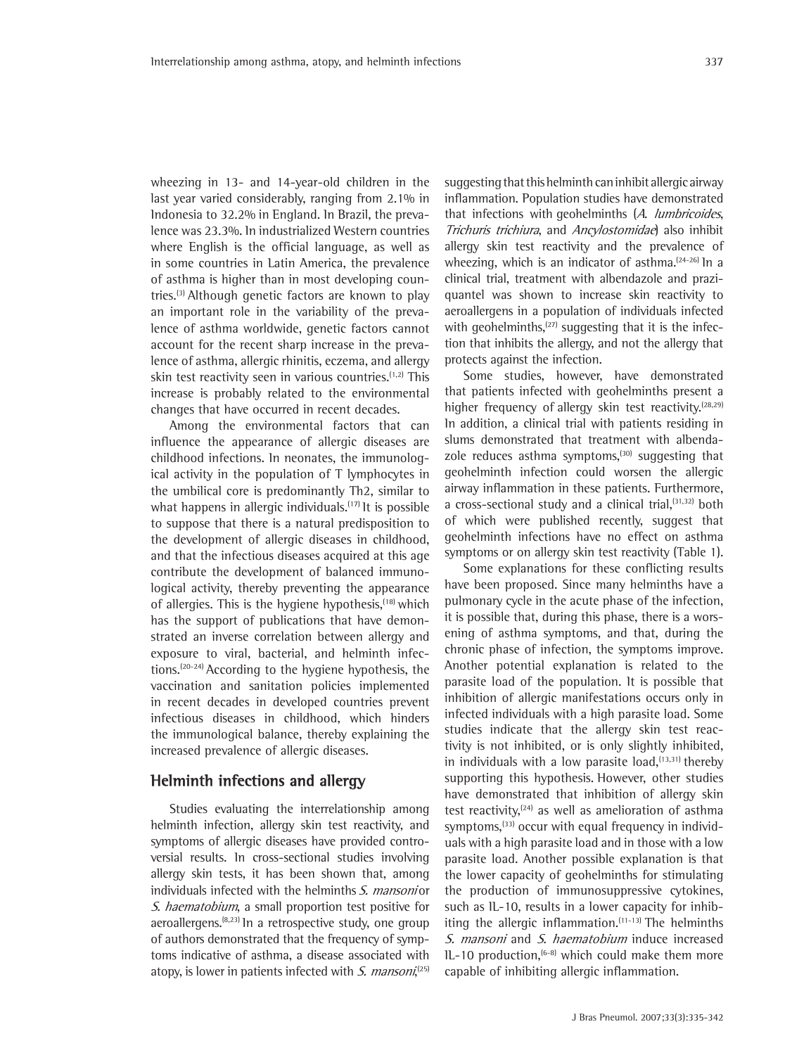wheezing in 13- and 14-year-old children in the last year varied considerably, ranging from 2.1% in Indonesia to 32.2% in England. In Brazil, the prevalence was 23.3%. In industrialized Western countries where English is the official language, as well as in some countries in Latin America, the prevalence of asthma is higher than in most developing countries.<sup>(3)</sup> Although genetic factors are known to play an important role in the variability of the prevalence of asthma worldwide, genetic factors cannot account for the recent sharp increase in the prevalence of asthma, allergic rhinitis, eczema, and allergy skin test reactivity seen in various countries.<sup>(1,2)</sup> This increase is probably related to the environmental changes that have occurred in recent decades.

Among the environmental factors that can influence the appearance of allergic diseases are childhood infections. In neonates, the immunological activity in the population of T lymphocytes in the umbilical core is predominantly Th2, similar to what happens in allergic individuals.<sup>(17)</sup> It is possible to suppose that there is a natural predisposition to the development of allergic diseases in childhood, and that the infectious diseases acquired at this age contribute the development of balanced immunological activity, thereby preventing the appearance of allergies. This is the hygiene hypothesis,<sup>(18)</sup> which has the support of publications that have demonstrated an inverse correlation between allergy and exposure to viral, bacterial, and helminth infections.(20-24) According to the hygiene hypothesis, the vaccination and sanitation policies implemented in recent decades in developed countries prevent infectious diseases in childhood, which hinders the immunological balance, thereby explaining the increased prevalence of allergic diseases.

### **Helminth infections and allergy**

Studies evaluating the interrelationship among helminth infection, allergy skin test reactivity, and symptoms of allergic diseases have provided controversial results. In cross-sectional studies involving allergy skin tests, it has been shown that, among individuals infected with the helminths S. mansoni or S. haematobium, a small proportion test positive for aeroallergens.(8,23) In a retrospective study, one group of authors demonstrated that the frequency of symptoms indicative of asthma, a disease associated with atopy, is lower in patients infected with *S. mansoni*,<sup>(25)</sup>

suggesting that this helminth can inhibit allergic airway inflammation. Population studies have demonstrated that infections with geohelminths (A. lumbricoides, Trichuris trichiura, and Ancylostomidae) also inhibit allergy skin test reactivity and the prevalence of wheezing, which is an indicator of asthma. $(24-26)$  ln a clinical trial, treatment with albendazole and praziquantel was shown to increase skin reactivity to aeroallergens in a population of individuals infected with geohelminths, $(27)$  suggesting that it is the infection that inhibits the allergy, and not the allergy that protects against the infection.

Some studies, however, have demonstrated that patients infected with geohelminths present a higher frequency of allergy skin test reactivity.<sup> $(28,29)$ </sup> In addition, a clinical trial with patients residing in slums demonstrated that treatment with albendazole reduces asthma symptoms, $(30)$  suggesting that geohelminth infection could worsen the allergic airway inflammation in these patients. Furthermore, a cross-sectional study and a clinical trial,<sup>(31,32)</sup> both of which were published recently, suggest that geohelminth infections have no effect on asthma symptoms or on allergy skin test reactivity (Table 1).

Some explanations for these conflicting results have been proposed. Since many helminths have a pulmonary cycle in the acute phase of the infection, it is possible that, during this phase, there is a worsening of asthma symptoms, and that, during the chronic phase of infection, the symptoms improve. Another potential explanation is related to the parasite load of the population. It is possible that inhibition of allergic manifestations occurs only in infected individuals with a high parasite load. Some studies indicate that the allergy skin test reactivity is not inhibited, or is only slightly inhibited, in individuals with a low parasite load,  $(13,31)$  thereby supporting this hypothesis. However, other studies have demonstrated that inhibition of allergy skin test reactivity, $(24)$  as well as amelioration of asthma symptoms, $^{(33)}$  occur with equal frequency in individuals with a high parasite load and in those with a low parasite load. Another possible explanation is that the lower capacity of geohelminths for stimulating the production of immunosuppressive cytokines, such as IL-10, results in a lower capacity for inhibiting the allergic inflammation. $(11-13)$  The helminths S. mansoni and S. haematobium induce increased IL-10 production, $(6-8)$  which could make them more capable of inhibiting allergic inflammation.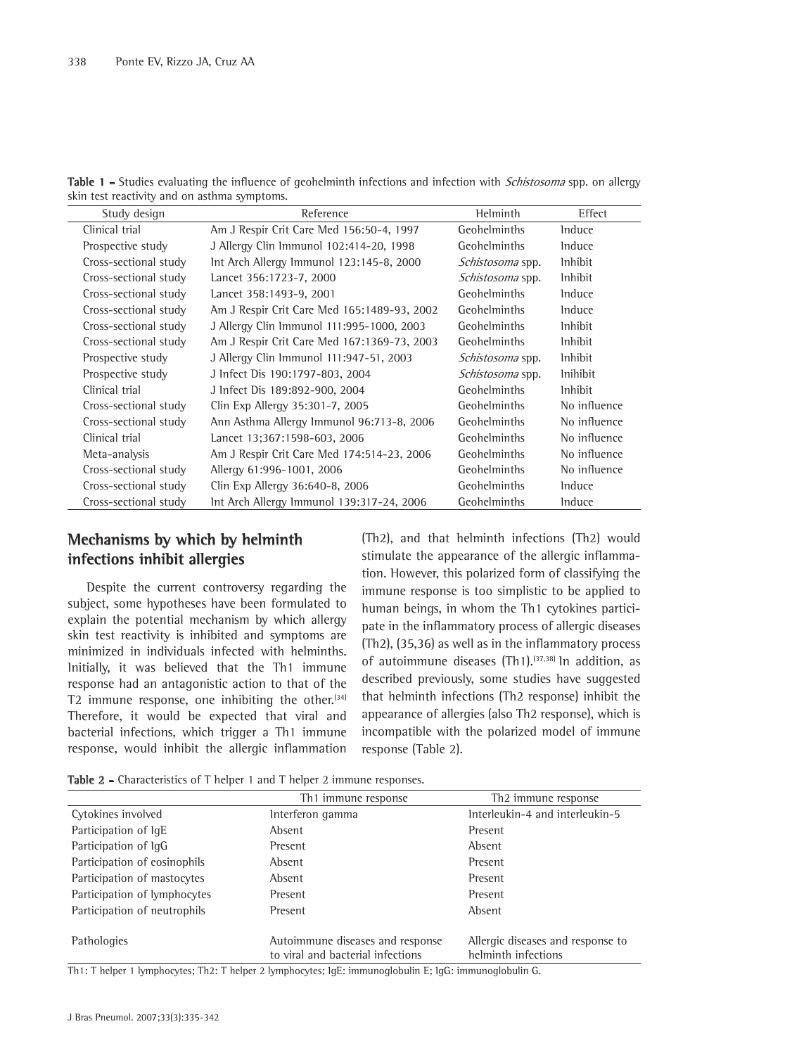| Table 1 - Studies evaluating the influence of geohelminth infections and infection with Schistosoma spp. on allergy |  |  |  |
|---------------------------------------------------------------------------------------------------------------------|--|--|--|
| skin test reactivity and on asthma symptoms.                                                                        |  |  |  |

| Study design          | Reference                                   | Helminth                | Effect          |
|-----------------------|---------------------------------------------|-------------------------|-----------------|
| Clinical trial        | Am J Respir Crit Care Med 156:50-4, 1997    | Geohelminths            | <b>Induce</b>   |
| Prospective study     | J Allergy Clin Immunol 102:414-20, 1998     | Geohelminths            | <b>Induce</b>   |
| Cross-sectional study | Int Arch Allergy Immunol 123:145-8, 2000    | <i>Schistosoma</i> spp. | <i>lnhibit</i>  |
| Cross-sectional study | Lancet 356:1723-7, 2000                     | Schistosoma spp.        | <i>lnhibit</i>  |
| Cross-sectional study | Lancet 358:1493-9, 2001                     | Geohelminths            | <b>Induce</b>   |
| Cross-sectional study | Am J Respir Crit Care Med 165:1489-93, 2002 | <b>Geohelminths</b>     | <b>Induce</b>   |
| Cross-sectional study | J Allergy Clin Immunol 111:995-1000, 2003   | <b>Geohelminths</b>     | <i>lnhibit</i>  |
| Cross-sectional study | Am J Respir Crit Care Med 167:1369-73, 2003 | Geohelminths            | <i>lnhibit</i>  |
| Prospective study     | J Allergy Clin Immunol 111:947-51, 2003     | Schistosoma spp.        | <i>lnhibit</i>  |
| Prospective study     | J Infect Dis 190:1797-803, 2004             | <i>Schistosoma</i> spp. | <i>lnihibit</i> |
| Clinical trial        | J Infect Dis 189:892-900, 2004              | Geohelminths            | <i>lnhibit</i>  |
| Cross-sectional study | Clin Exp Allergy 35:301-7, 2005             | <b>Geohelminths</b>     | No influence    |
| Cross-sectional study | Ann Asthma Allergy Immunol 96:713-8, 2006   | <b>Geohelminths</b>     | No influence    |
| Clinical trial        | Lancet 13;367:1598-603, 2006                | <b>Geohelminths</b>     | No influence    |
| Meta-analysis         | Am J Respir Crit Care Med 174:514-23, 2006  | Geohelminths            | No influence    |
| Cross-sectional study | Allergy 61:996-1001, 2006                   | Geohelminths            | No influence    |
| Cross-sectional study | Clin Exp Allergy 36:640-8, 2006             | Geohelminths            | <b>Induce</b>   |
| Cross-sectional study | Int Arch Allergy Immunol 139:317-24, 2006   | Geohelminths            | <b>Induce</b>   |

# **Mechanisms by which by helminth infections inhibit allergies**

Despite the current controversy regarding the subject, some hypotheses have been formulated to explain the potential mechanism by which allergy skin test reactivity is inhibited and symptoms are minimized in individuals infected with helminths. Initially, it was believed that the Th1 immune response had an antagonistic action to that of the T2 immune response, one inhibiting the other. $[34]$ Therefore, it would be expected that viral and bacterial infections, which trigger a Th1 immune response, would inhibit the allergic inflammation (Th2), and that helminth infections (Th2) would stimulate the appearance of the allergic inflammation. However, this polarized form of classifying the immune response is too simplistic to be applied to human beings, in whom the Th1 cytokines participate in the inflammatory process of allergic diseases (Th2), (35,36) as well as in the inflammatory process of autoimmune diseases  $(Th1).$ <sup>(37,38)</sup> In addition, as described previously, some studies have suggested that helminth infections (Th2 response) inhibit the appearance of allergies (also Th2 response), which is incompatible with the polarized model of immune response (Table 2).

**Table 2 -** Characteristics of T helper 1 and T helper 2 immune responses.

|                              | Th <sub>1</sub> immune response                                       | Th <sub>2</sub> immune response                          |
|------------------------------|-----------------------------------------------------------------------|----------------------------------------------------------|
| Cytokines involved           | Interferon gamma                                                      | Interleukin-4 and interleukin-5                          |
| Participation of lgE         | Absent                                                                | Present                                                  |
| Participation of lgG         | Present                                                               | Absent                                                   |
| Participation of eosinophils | Absent                                                                | Present                                                  |
| Participation of mastocytes  | Absent                                                                | Present                                                  |
| Participation of lymphocytes | Present                                                               | Present                                                  |
| Participation of neutrophils | Present                                                               | Absent                                                   |
| Pathologies                  | Autoimmune diseases and response<br>to viral and bacterial infections | Allergic diseases and response to<br>helminth infections |

Th1: T helper 1 lymphocytes; Th2: T helper 2 lymphocytes; IgE: immunoglobulin E; IgG: immunoglobulin G.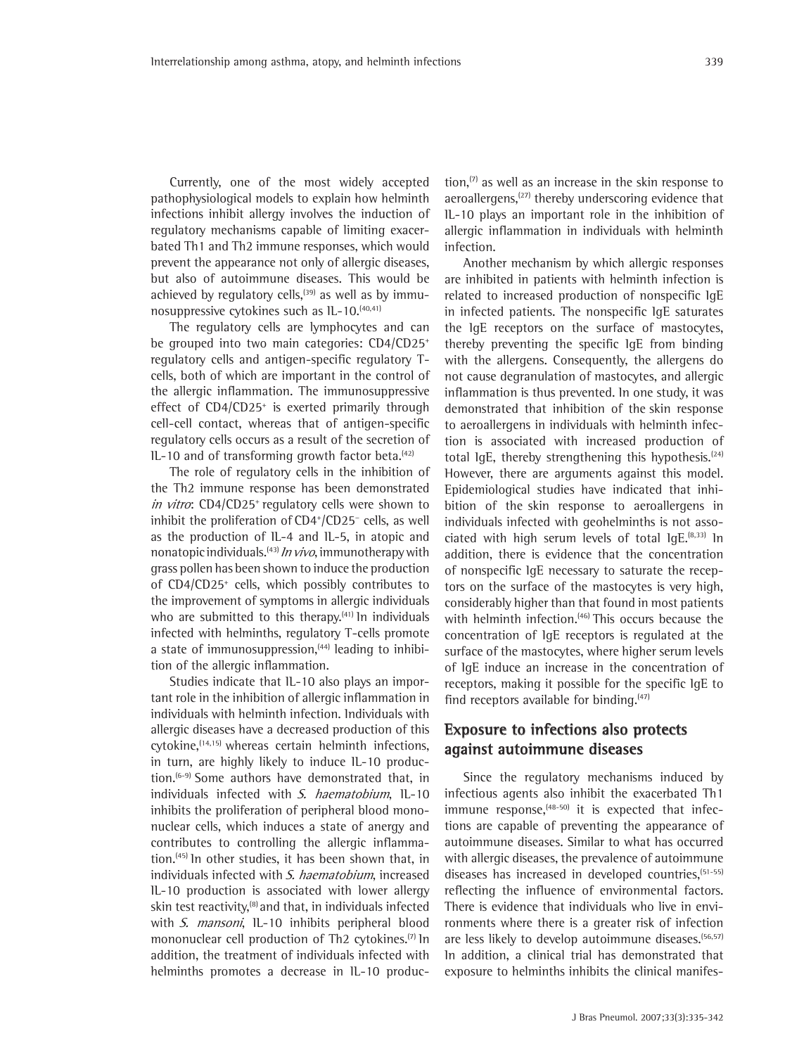Currently, one of the most widely accepted pathophysiological models to explain how helminth infections inhibit allergy involves the induction of regulatory mechanisms capable of limiting exacerbated Th1 and Th2 immune responses, which would prevent the appearance not only of allergic diseases, but also of autoimmune diseases. This would be achieved by regulatory cells,<sup> $(39)$ </sup> as well as by immunosuppressive cytokines such as IL-10.(40,41)

The regulatory cells are lymphocytes and can be grouped into two main categories: CD4/CD25+ regulatory cells and antigen-specific regulatory Tcells, both of which are important in the control of the allergic inflammation. The immunosuppressive effect of CD4/CD25<sup>+</sup> is exerted primarily through cell-cell contact, whereas that of antigen-specific regulatory cells occurs as a result of the secretion of  $IL-10$  and of transforming growth factor beta.<sup> $(42)$ </sup>

The role of regulatory cells in the inhibition of the Th2 immune response has been demonstrated in vitro: CD4/CD25<sup>+</sup> regulatory cells were shown to inhibit the proliferation of CD4+ /CD25<sup>−</sup> cells, as well as the production of IL-4 and IL-5, in atopic and nonatopic individuals.<sup>(43)</sup> In vivo, immunotherapy with grass pollen has been shown to induce the production of CD4/CD25+ cells, which possibly contributes to the improvement of symptoms in allergic individuals who are submitted to this therapy. $(41)$  In individuals infected with helminths, regulatory T-cells promote a state of immunosuppression, (44) leading to inhibition of the allergic inflammation.

Studies indicate that IL-10 also plays an important role in the inhibition of allergic inflammation in individuals with helminth infection. Individuals with allergic diseases have a decreased production of this cytokine, <a>(14,15)</a> whereas certain helminth infections, in turn, are highly likely to induce IL-10 production.<sup>(6-9)</sup> Some authors have demonstrated that, in individuals infected with S. haematobium, IL-10 inhibits the proliferation of peripheral blood mononuclear cells, which induces a state of anergy and contributes to controlling the allergic inflammation.(45) In other studies, it has been shown that, in individuals infected with S. haematobium, increased IL-10 production is associated with lower allergy skin test reactivity, $^{(8)}$  and that, in individuals infected with S. mansoni, IL-10 inhibits peripheral blood mononuclear cell production of Th<sub>2</sub> cytokines.<sup>(7)</sup> In addition, the treatment of individuals infected with helminths promotes a decrease in IL-10 produc-

tion, $(7)$  as well as an increase in the skin response to aeroallergens,<sup>(27)</sup> thereby underscoring evidence that IL-10 plays an important role in the inhibition of allergic inflammation in individuals with helminth infection.

Another mechanism by which allergic responses are inhibited in patients with helminth infection is related to increased production of nonspecific IgE in infected patients. The nonspecific IgE saturates the IgE receptors on the surface of mastocytes, thereby preventing the specific IgE from binding with the allergens. Consequently, the allergens do not cause degranulation of mastocytes, and allergic inflammation is thus prevented. In one study, it was demonstrated that inhibition of the skin response to aeroallergens in individuals with helminth infection is associated with increased production of total IgE, thereby strengthening this hypothesis. $[24]$ However, there are arguments against this model. Epidemiological studies have indicated that inhibition of the skin response to aeroallergens in individuals infected with geohelminths is not associated with high serum levels of total  $\lg E^{(8,33)}$  In addition, there is evidence that the concentration of nonspecific IgE necessary to saturate the receptors on the surface of the mastocytes is very high, considerably higher than that found in most patients with helminth infection.<sup>(46)</sup> This occurs because the concentration of IgE receptors is regulated at the surface of the mastocytes, where higher serum levels of IgE induce an increase in the concentration of receptors, making it possible for the specific IgE to find receptors available for binding. $(47)$ 

### **Exposure to infections also protects against autoimmune diseases**

Since the regulatory mechanisms induced by infectious agents also inhibit the exacerbated Th1 immune response, $(48-50)$  it is expected that infections are capable of preventing the appearance of autoimmune diseases. Similar to what has occurred with allergic diseases, the prevalence of autoimmune diseases has increased in developed countries, <sup>[51-55]</sup> reflecting the influence of environmental factors. There is evidence that individuals who live in environments where there is a greater risk of infection are less likely to develop autoimmune diseases.<sup>(56,57)</sup> In addition, a clinical trial has demonstrated that exposure to helminths inhibits the clinical manifes-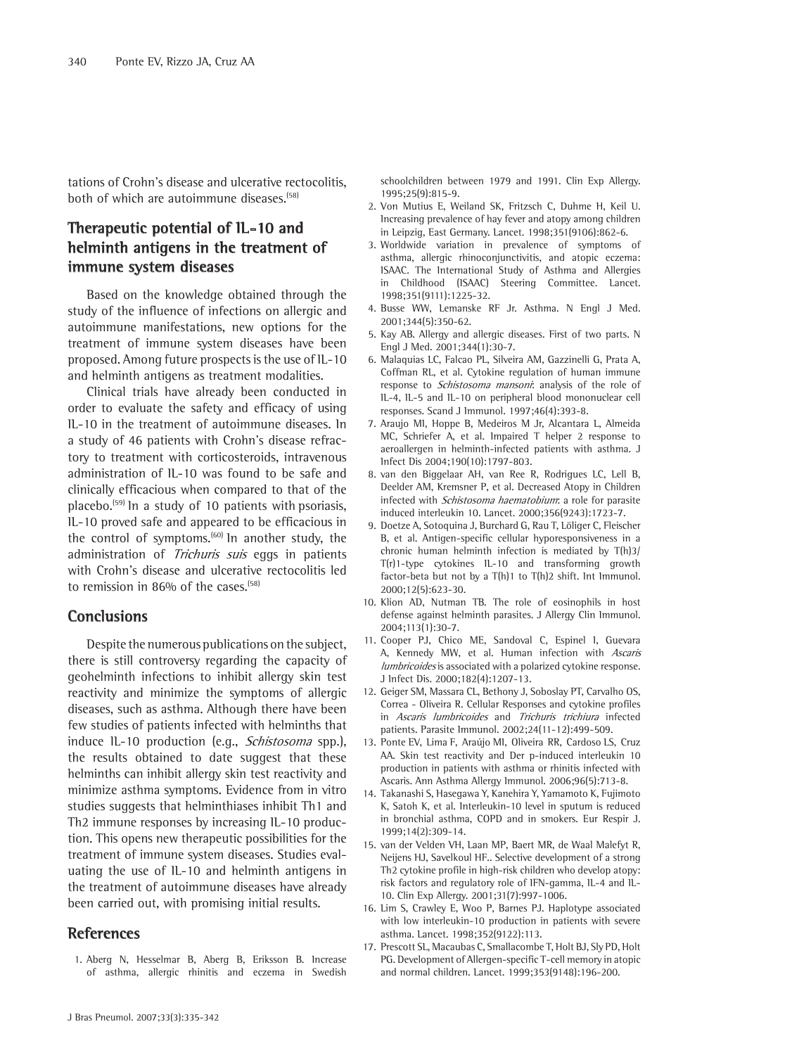tations of Crohn's disease and ulcerative rectocolitis, both of which are autoimmune diseases.(58)

# **Therapeutic potential of IL-10 and helminth antigens in the treatment of immune system diseases**

Based on the knowledge obtained through the study of the influence of infections on allergic and autoimmune manifestations, new options for the treatment of immune system diseases have been proposed. Among future prospects is the use of IL-10 and helminth antigens as treatment modalities.

Clinical trials have already been conducted in order to evaluate the safety and efficacy of using IL-10 in the treatment of autoimmune diseases. In a study of 46 patients with Crohn's disease refractory to treatment with corticosteroids, intravenous administration of IL-10 was found to be safe and clinically efficacious when compared to that of the placebo.<sup> $(59)$ </sup> In a study of 10 patients with psoriasis, IL-10 proved safe and appeared to be efficacious in the control of symptoms.<sup>(60)</sup> In another study, the administration of Trichuris suis eggs in patients with Crohn's disease and ulcerative rectocolitis led to remission in 86% of the cases.<sup>(58)</sup>

### **Conclusions**

Despite the numerous publications on the subject, there is still controversy regarding the capacity of geohelminth infections to inhibit allergy skin test reactivity and minimize the symptoms of allergic diseases, such as asthma. Although there have been few studies of patients infected with helminths that induce IL-10 production (e.g., Schistosoma spp.), the results obtained to date suggest that these helminths can inhibit allergy skin test reactivity and minimize asthma symptoms. Evidence from in vitro studies suggests that helminthiases inhibit Th1 and Th2 immune responses by increasing IL-10 production. This opens new therapeutic possibilities for the treatment of immune system diseases. Studies evaluating the use of IL-10 and helminth antigens in the treatment of autoimmune diseases have already been carried out, with promising initial results.

#### **References**

1. Aberg N, Hesselmar B, Aberg B, Eriksson B. Increase of asthma, allergic rhinitis and eczema in Swedish schoolchildren between 1979 and 1991. Clin Exp Allergy. 1995;25(9):815-9.

- 2. Von Mutius E, Weiland SK, Fritzsch C, Duhme H, Keil U. Increasing prevalence of hay fever and atopy among children in Leipzig, East Germany. Lancet. 1998;351(9106):862-6.
- 3. Worldwide variation in prevalence of symptoms of asthma, allergic rhinoconjunctivitis, and atopic eczema: ISAAC. The International Study of Asthma and Allergies in Childhood (ISAAC) Steering Committee. Lancet. 1998;351(9111):1225-32.
- 4. Busse WW, Lemanske RF Jr. Asthma. N Engl J Med. 2001;344(5):350-62.
- 5. Kay AB. Allergy and allergic diseases. First of two parts. N Engl J Med. 2001;344(1):30-7.
- 6. Malaquias LC, Falcao PL, Silveira AM, Gazzinelli G, Prata A, Coffman RL, et al. Cytokine regulation of human immune response to *Schistosoma mansoni*: analysis of the role of IL-4, IL-5 and IL-10 on peripheral blood mononuclear cell responses. Scand J Immunol. 1997;46(4):393-8.
- 7. Araujo MI, Hoppe B, Medeiros M Jr, Alcantara L, Almeida MC, Schriefer A, et al. Impaired T helper 2 response to aeroallergen in helminth-infected patients with asthma. J Infect Dis 2004;190(10):1797-803.
- 8. van den Biggelaar AH, van Ree R, Rodrigues LC, Lell B, Deelder AM, Kremsner P, et al. Decreased Atopy in Children infected with Schistosoma haematobium: a role for parasite induced interleukin 10. Lancet. 2000;356(9243):1723-7.
- 9. Doetze A, Sotoquina J, Burchard G, Rau T, Löliger C, Fleischer B, et al. Antigen-specific cellular hyporesponsiveness in a chronic human helminth infection is mediated by T(h)3/ T(r)1-type cytokines IL-10 and transforming growth factor-beta but not by a T(h)1 to T(h)2 shift. Int Immunol. 2000;12(5):623-30.
- 10. Klion AD, Nutman TB. The role of eosinophils in host defense against helminth parasites. J Allergy Clin Immunol. 2004;113(1):30-7.
- 11. Cooper PJ, Chico ME, Sandoval C, Espinel I, Guevara A, Kennedy MW, et al. Human infection with Ascaris lumbricoides is associated with a polarized cytokine response. J Infect Dis. 2000;182(4):1207-13.
- 12. Geiger SM, Massara CL, Bethony J, Soboslay PT, Carvalho OS, Correa - Oliveira R. Cellular Responses and cytokine profiles in Ascaris lumbricoides and Trichuris trichiura infected patients. Parasite Immunol. 2002;24(11-12):499-509.
- 13. Ponte EV, Lima F, Araújo MI, Oliveira RR, Cardoso LS, Cruz AA. Skin test reactivity and Der p-induced interleukin 10 production in patients with asthma or rhinitis infected with Ascaris. Ann Asthma Allergy Immunol. 2006;96(5):713-8.
- 14. Takanashi S, Hasegawa Y, Kanehira Y, Yamamoto K, Fujimoto K, Satoh K, et al. Interleukin-10 level in sputum is reduced in bronchial asthma, COPD and in smokers. Eur Respir J. 1999;14(2):309-14.
- 15. van der Velden VH, Laan MP, Baert MR, de Waal Malefyt R, Neijens HJ, Savelkoul HF.. Selective development of a strong Th2 cytokine profile in high-risk children who develop atopy: risk factors and regulatory role of IFN-gamma, IL-4 and IL-10. Clin Exp Allergy. 2001;31(7):997-1006.
- 16. Lim S, Crawley E, Woo P, Barnes PJ. Haplotype associated with low interleukin-10 production in patients with severe asthma. Lancet. 1998;352(9122):113.
- 17. Prescott SL, Macaubas C, Smallacombe T, Holt BJ, Sly PD, Holt PG. Development of Allergen-specific T-cell memory in atopic and normal children. Lancet. 1999;353(9148):196-200.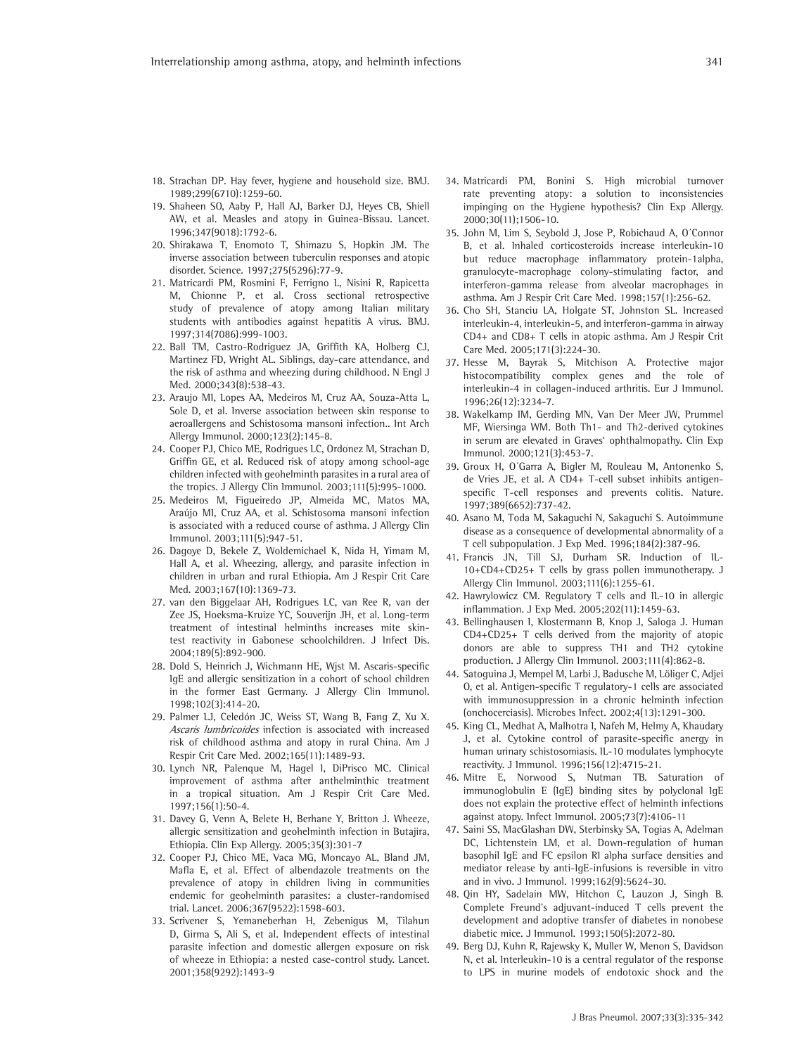- 18. Strachan DP. Hay fever, hygiene and household size. BMJ. 1989;299(6710):1259-60.
- 19. Shaheen SO, Aaby P, Hall AJ, Barker DJ, Heyes CB, Shiell AW, et al. Measles and atopy in Guinea-Bissau. Lancet. 1996;347(9018):1792-6.
- 20. Shirakawa T, Enomoto T, Shimazu S, Hopkin JM. The inverse association between tuberculin responses and atopic disorder. Science. 1997;275(5296):77-9.
- 21. Matricardi PM, Rosmini F, Ferrigno L, Nisini R, Rapicetta M, Chionne P, et al. Cross sectional retrospective study of prevalence of atopy among Italian military students with antibodies against hepatitis A virus. BMJ. 1997;314(7086):999-1003.
- 22. Ball TM, Castro-Rodriguez JA, Griffith KA, Holberg CJ, Martinez FD, Wright AL. Siblings, day-care attendance, and the risk of asthma and wheezing during childhood. N Engl J Med. 2000;343(8):538-43.
- 23. Araujo MI, Lopes AA, Medeiros M, Cruz AA, Souza-Atta L, Sole D, et al. Inverse association between skin response to aeroallergens and Schistosoma mansoni infection.. Int Arch Allergy Immunol. 2000;123(2):145-8.
- 24. Cooper PJ, Chico ME, Rodrigues LC, Ordonez M, Strachan D, Griffin GE, et al. Reduced risk of atopy among school-age children infected with geohelminth parasites in a rural area of the tropics. J Allergy Clin Immunol. 2003;111(5):995-1000.
- 25. Medeiros M, Figueiredo JP, Almeida MC, Matos MA, Araújo MI, Cruz AA, et al. Schistosoma mansoni infection is associated with a reduced course of asthma. J Allergy Clin Immunol. 2003;111(5):947-51.
- 26. Dagoye D, Bekele Z, Woldemichael K, Nida H, Yimam M, Hall A, et al. Wheezing, allergy, and parasite infection in children in urban and rural Ethiopia. Am J Respir Crit Care Med. 2003;167(10):1369-73.
- 27. van den Biggelaar AH, Rodrigues LC, van Ree R, van der Zee JS, Hoeksma-Kruize YC, Souverijn JH, et al. Long-term treatment of intestinal helminths increases mite skintest reactivity in Gabonese schoolchildren. J Infect Dis. 2004;189(5):892-900.
- 28. Dold S, Heinrich J, Wichmann HE, Wjst M. Ascaris-specific IgE and allergic sensitization in a cohort of school children in the former East Germany. J Allergy Clin Immunol. 1998;102(3):414-20.
- 29. Palmer LJ, Celedón JC, Weiss ST, Wang B, Fang Z, Xu X. Ascaris lumbricoides infection is associated with increased risk of childhood asthma and atopy in rural China. Am J Respir Crit Care Med. 2002;165(11):1489-93.
- 30. Lynch NR, Palenque M, Hagel I, DiPrisco MC. Clinical improvement of asthma after anthelminthic treatment in a tropical situation. Am J Respir Crit Care Med. 1997;156(1):50-4.
- 31. Davey G, Venn A, Belete H, Berhane Y, Britton J. Wheeze, allergic sensitization and geohelminth infection in Butajira, Ethiopia. Clin Exp Allergy. 2005;35(3):301-7
- 32. Cooper PJ, Chico ME, Vaca MG, Moncayo AL, Bland JM, Mafla E, et al. Effect of albendazole treatments on the prevalence of atopy in children living in communities endemic for geohelminth parasites: a cluster-randomised trial. Lancet. 2006;367(9522):1598-603.
- 33. Scrivener S, Yemaneberhan H, Zebenigus M, Tilahun D, Girma S, Ali S, et al. Independent effects of intestinal parasite infection and domestic allergen exposure on risk of wheeze in Ethiopia: a nested case-control study. Lancet. 2001;358(9292):1493-9
- 34. Matricardi PM, Bonini S. High microbial turnover rate preventing atopy: a solution to inconsistencies impinging on the Hygiene hypothesis? Clin Exp Allergy. 2000;30(11);1506-10.
- 35. John M, Lim S, Seybold J, Jose P, Robichaud A, O´Connor B, et al. Inhaled corticosteroids increase interleukin-10 but reduce macrophage inflammatory protein-1alpha, granulocyte-macrophage colony-stimulating factor, and interferon-gamma release from alveolar macrophages in asthma. Am J Respir Crit Care Med. 1998;157(1):256-62.
- 36. Cho SH, Stanciu LA, Holgate ST, Johnston SL. Increased interleukin-4, interleukin-5, and interferon-gamma in airway CD4+ and CD8+ T cells in atopic asthma. Am J Respir Crit Care Med. 2005;171(3):224-30.
- 37. Hesse M, Bayrak S, Mitchison A. Protective major histocompatibility complex genes and the role of interleukin-4 in collagen-induced arthritis. Eur J Immunol. 1996;26(12):3234-7.
- 38. Wakelkamp IM, Gerding MN, Van Der Meer JW, Prummel MF, Wiersinga WM. Both Th1- and Th2-derived cytokines in serum are elevated in Graves' ophthalmopathy. Clin Exp Immunol. 2000;121(3):453-7.
- 39. Groux H, O´Garra A, Bigler M, Rouleau M, Antonenko S, de Vries JE, et al. A CD4+ T-cell subset inhibits antigenspecific T-cell responses and prevents colitis. Nature. 1997;389(6652):737-42.
- 40. Asano M, Toda M, Sakaguchi N, Sakaguchi S. Autoimmune disease as a consequence of developmental abnormality of a T cell subpopulation. J Exp Med. 1996;184(2):387-96.
- 41. Francis JN, Till SJ, Durham SR. Induction of IL-10+CD4+CD25+ T cells by grass pollen immunotherapy. J Allergy Clin Immunol. 2003;111(6):1255-61.
- 42. Hawrylowicz CM. Regulatory T cells and IL-10 in allergic inflammation. J Exp Med. 2005;202(11):1459-63.
- 43. Bellinghausen I, Klostermann B, Knop J, Saloga J. Human CD4+CD25+ T cells derived from the majority of atopic donors are able to suppress TH1 and TH2 cytokine production. J Allergy Clin Immunol. 2003;111(4):862-8.
- 44. Satoguina J, Mempel M, Larbi J, Badusche M, Löliger C, Adjei O, et al. Antigen-specific T regulatory-1 cells are associated with immunosuppression in a chronic helminth infection (onchocerciasis). Microbes Infect. 2002;4(13):1291-300.
- 45. King CL, Medhat A, Malhotra I, Nafeh M, Helmy A, Khaudary J, et al. Cytokine control of parasite-specific anergy in human urinary schistosomiasis. IL-10 modulates lymphocyte reactivity. J Immunol. 1996;156(12):4715-21.
- 46. Mitre E, Norwood S, Nutman TB. Saturation of immunoglobulin E (IgE) binding sites by polyclonal IgE does not explain the protective effect of helminth infections against atopy. Infect Immunol. 2005;73(7):4106-11
- 47. Saini SS, MacGlashan DW, Sterbinsky SA, Togias A, Adelman DC, Lichtenstein LM, et al. Down-regulation of human basophil IgE and FC epsilon RI alpha surface densities and mediator release by anti-IgE-infusions is reversible in vitro and in vivo. J Immunol. 1999;162(9):5624-30.
- 48. Qin HY, Sadelain MW, Hitchon C, Lauzon J, Singh B. Complete Freund's adjuvant-induced T cells prevent the development and adoptive transfer of diabetes in nonobese diabetic mice. J Immunol. 1993;150(5):2072-80.
- 49. Berg DJ, Kuhn R, Rajewsky K, Muller W, Menon S, Davidson N, et al. Interleukin-10 is a central regulator of the response to LPS in murine models of endotoxic shock and the

341